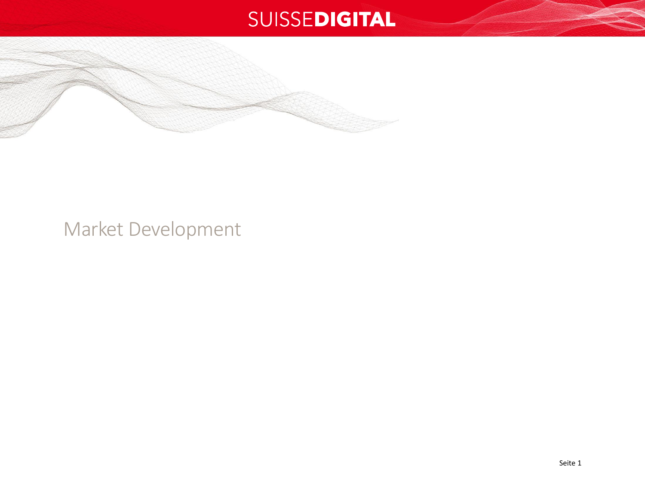

## Market Development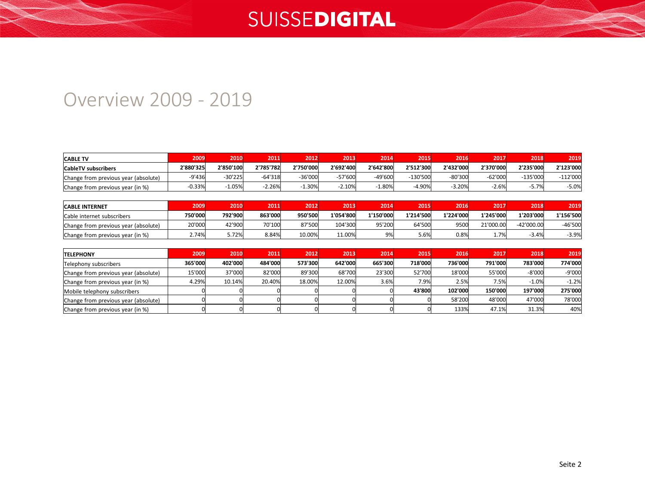#### Overview 2009 - 2019

| <b>CABLE TV</b>                      | 2009      | 2010      | 2011      | 2012      | 2013      | 2014      | 2015        | 2016      | 2017      | 2018       | 2019      |
|--------------------------------------|-----------|-----------|-----------|-----------|-----------|-----------|-------------|-----------|-----------|------------|-----------|
| CableTV subscribers                  | 2'880'325 | 2'850'100 | 2'785'782 | 2'750'000 | 2'692'400 | 2'642'800 | 2'512'300   | 2'432'000 | 2'370'000 | 2'235'000  | 2'123'000 |
| Change from previous year (absolute) | -9'436    | $-30'225$ | $-64'318$ | $-36'000$ | -57'600   | $-49'600$ | $-130'500'$ | $-80'300$ | $-62'000$ | $-135'00C$ | -112'000  |
| Change from previous year (in %)     | $-0.33%$  | 1.05%     | $-2.26%$  | $-1.30%$  | 2.10%     | 1.80%     | $-4.90%$    | $-3.20\%$ | $-2.6%$   | 5.7%       | $-5.0%$   |

| <b>CABLE INTERNET</b>                | 2009 '  | 2010    | 2011    | 2012    | 2013      | 2014      | 2015                | 2016      | 2017      | 2018          | 2019      |
|--------------------------------------|---------|---------|---------|---------|-----------|-----------|---------------------|-----------|-----------|---------------|-----------|
| Cable internet subscribers           | 750'000 | 792'900 | 863'000 | 950'500 | 1'054'800 | 1'150'000 | 1'214'500           | 1'224'000 | 1'245'000 | 1'203'000     | 1'156'500 |
| Change from previous year (absolute) | 20'000  | 42'900  | 70'100  | 87'500  | 104'300   | 95'200    | 64'500 <sup>'</sup> | 9500l     | 21'000.00 | $-42'000.00'$ | $-46'500$ |
| Change from previous year (in %)     | 2.74%   | 72%،د   | 8.84%   | 10.00%  | 11.00%    | 9%        | 5.6%                | 0.8%      | 1.7%      | $-3.4%$       | $-3.9%$   |

| <b>TELEPHONY</b>                     | 2009    | 2010    | 2011    | 2012    | 2013    | 2014    | 2015    | 2016    | 2017    | 2018     | 2019          |
|--------------------------------------|---------|---------|---------|---------|---------|---------|---------|---------|---------|----------|---------------|
| Telephony subscribers                | 365'000 | 402'000 | 484'000 | 573'300 | 642'000 | 665'300 | 718'000 | 736'000 | 791'000 | 783'000  | 774'000       |
| Change from previous year (absolute) | 15'000  | 37'000  | 82'000  | 89'300  | 68'700  | 23'300  | 52'700  | 18'000  | 55'000  | $-8'000$ | -9'000        |
| Change from previous year (in %)     | 4.29%   | 10.14%  | 20.40%  | 18.00%  | 12.00%  | 3.6%    | 7.9%    | 2.5%    | 7.5%    | $-1.0%$  | $-1.2%$       |
| Mobile telephony subscribers         |         |         |         |         |         |         | 43'800  | 102'000 | 150'000 | 197'000  | 275'000       |
| Change from previous year (absolute) |         |         |         |         |         |         |         | 58'200  | 48'000  | 47'000   | <b>78'000</b> |
| Change from previous year (in %)     |         |         |         |         |         |         |         | 133%    | 47.1%   | 31.3%    | 40%           |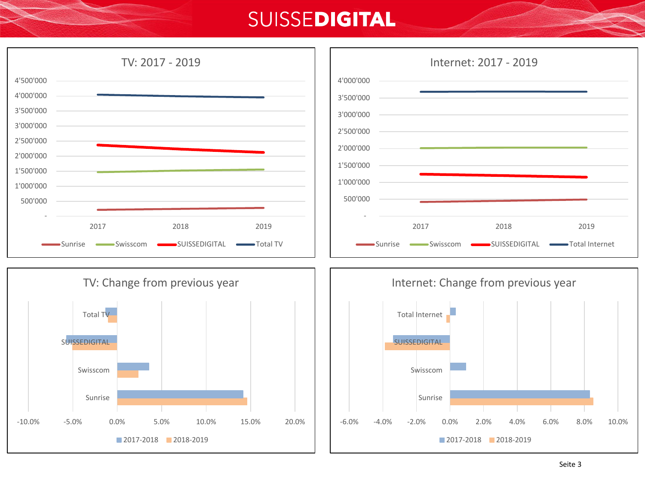